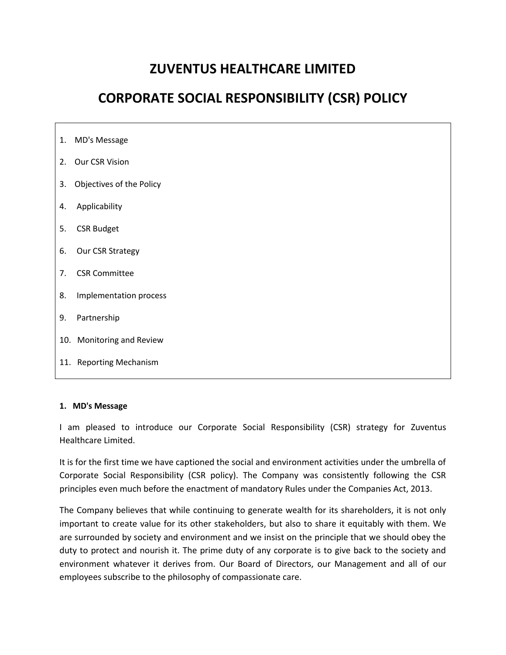# **ZUVENTUS HEALTHCARE LIMITED**

# **CORPORATE SOCIAL RESPONSIBILITY (CSR) POLICY**

| 3. Objectives of the Policy |  |
|-----------------------------|--|
|                             |  |
|                             |  |
| Our CSR Strategy            |  |
| <b>CSR Committee</b>        |  |
| Implementation process      |  |
|                             |  |
| 10. Monitoring and Review   |  |
| 11. Reporting Mechanism     |  |
|                             |  |

#### **1. MD's Message**

I am pleased to introduce our Corporate Social Responsibility (CSR) strategy for Zuventus Healthcare Limited.

It is for the first time we have captioned the social and environment activities under the umbrella of Corporate Social Responsibility (CSR policy). The Company was consistently following the CSR principles even much before the enactment of mandatory Rules under the Companies Act, 2013.

The Company believes that while continuing to generate wealth for its shareholders, it is not only important to create value for its other stakeholders, but also to share it equitably with them. We are surrounded by society and environment and we insist on the principle that we should obey the duty to protect and nourish it. The prime duty of any corporate is to give back to the society and environment whatever it derives from. Our Board of Directors, our Management and all of our employees subscribe to the philosophy of compassionate care.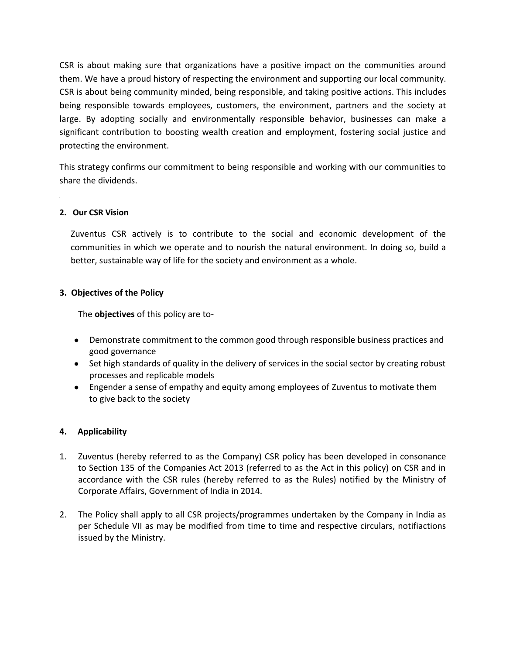CSR is about making sure that organizations have a positive impact on the communities around them. We have a proud history of respecting the environment and supporting our local community. CSR is about being community minded, being responsible, and taking positive actions. This includes being responsible towards employees, customers, the environment, partners and the society at large. By adopting socially and environmentally responsible behavior, businesses can make a significant contribution to boosting wealth creation and employment, fostering social justice and protecting the environment.

This strategy confirms our commitment to being responsible and working with our communities to share the dividends.

## **2. Our CSR Vision**

Zuventus CSR actively is to contribute to the social and economic development of the communities in which we operate and to nourish the natural environment. In doing so, build a better, sustainable way of life for the society and environment as a whole.

## **3. Objectives of the Policy**

The **objectives** of this policy are to-

- Demonstrate commitment to the common good through responsible business practices and good governance
- Set high standards of quality in the delivery of services in the social sector by creating robust processes and replicable models
- Engender a sense of empathy and equity among employees of Zuventus to motivate them to give back to the society

## **4. Applicability**

- 1. Zuventus (hereby referred to as the Company) CSR policy has been developed in consonance to Section 135 of the Companies Act 2013 (referred to as the Act in this policy) on CSR and in accordance with the CSR rules (hereby referred to as the Rules) notified by the Ministry of Corporate Affairs, Government of India in 2014.
- 2. The Policy shall apply to all CSR projects/programmes undertaken by the Company in India as per Schedule VII as may be modified from time to time and respective circulars, notifiactions issued by the Ministry.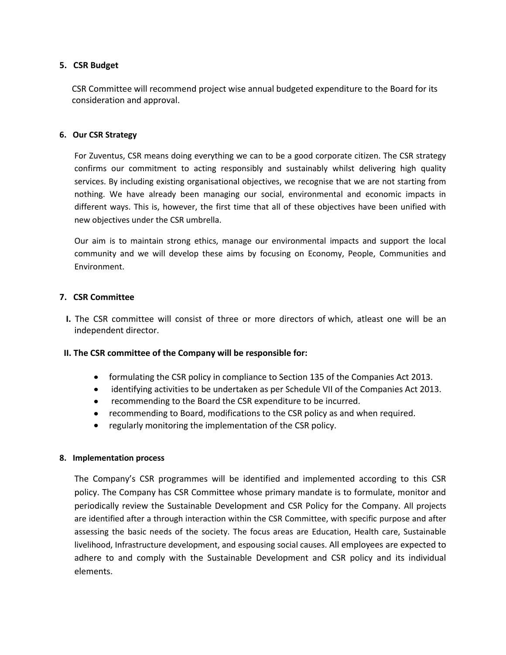## **5. CSR Budget**

CSR Committee will recommend project wise annual budgeted expenditure to the Board for its consideration and approval.

### **6. Our CSR Strategy**

For Zuventus, CSR means doing everything we can to be a good corporate citizen. The CSR strategy confirms our commitment to acting responsibly and sustainably whilst delivering high quality services. By including existing organisational objectives, we recognise that we are not starting from nothing. We have already been managing our social, environmental and economic impacts in different ways. This is, however, the first time that all of these objectives have been unified with new objectives under the CSR umbrella.

Our aim is to maintain strong ethics, manage our environmental impacts and support the local community and we will develop these aims by focusing on Economy, People, Communities and Environment.

## **7. CSR Committee**

 **I.** The CSR committee will consist of three or more directors of which, atleast one will be an independent director.

#### **II. The CSR committee of the Company will be responsible for:**

- formulating the CSR policy in compliance to Section 135 of the Companies Act 2013.
- identifying activities to be undertaken as per Schedule VII of the Companies Act 2013.
- recommending to the Board the CSR expenditure to be incurred.
- recommending to Board, modifications to the CSR policy as and when required.
- regularly monitoring the implementation of the CSR policy.

#### **8. Implementation process**

The Company's CSR programmes will be identified and implemented according to this CSR policy. The Company has CSR Committee whose primary mandate is to formulate, monitor and periodically review the Sustainable Development and CSR Policy for the Company. All projects are identified after a through interaction within the CSR Committee, with specific purpose and after assessing the basic needs of the society. The focus areas are Education, Health care, Sustainable livelihood, Infrastructure development, and espousing social causes. All employees are expected to adhere to and comply with the Sustainable Development and CSR policy and its individual elements.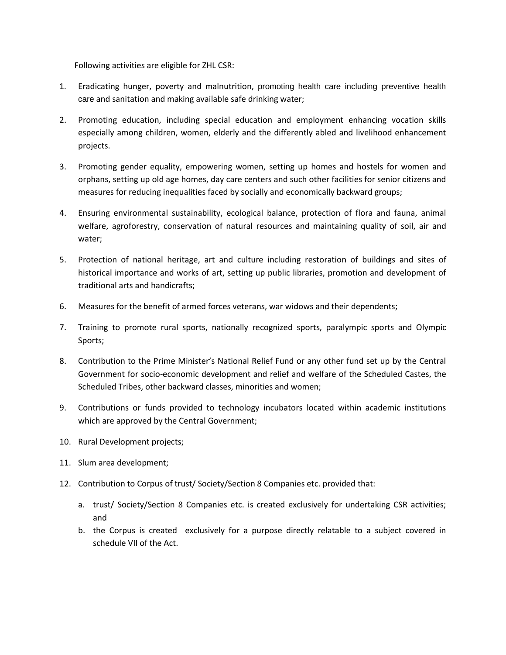Following activities are eligible for ZHL CSR:

- 1. Eradicating hunger, poverty and malnutrition, promoting health care including preventive health care and sanitation and making available safe drinking water;
- 2. Promoting education, including special education and employment enhancing vocation skills especially among children, women, elderly and the differently abled and livelihood enhancement projects.
- 3. Promoting gender equality, empowering women, setting up homes and hostels for women and orphans, setting up old age homes, day care centers and such other facilities for senior citizens and measures for reducing inequalities faced by socially and economically backward groups;
- 4. Ensuring environmental sustainability, ecological balance, protection of flora and fauna, animal welfare, agroforestry, conservation of natural resources and maintaining quality of soil, air and water;
- 5. Protection of national heritage, art and culture including restoration of buildings and sites of historical importance and works of art, setting up public libraries, promotion and development of traditional arts and handicrafts;
- 6. Measures for the benefit of armed forces veterans, war widows and their dependents;
- 7. Training to promote rural sports, nationally recognized sports, paralympic sports and Olympic Sports;
- 8. Contribution to the Prime Minister's National Relief Fund or any other fund set up by the Central Government for socio-economic development and relief and welfare of the Scheduled Castes, the Scheduled Tribes, other backward classes, minorities and women;
- 9. Contributions or funds provided to technology incubators located within academic institutions which are approved by the Central Government;
- 10. Rural Development projects;
- 11. Slum area development;
- 12. Contribution to Corpus of trust/ Society/Section 8 Companies etc. provided that:
	- a. trust/ Society/Section 8 Companies etc. is created exclusively for undertaking CSR activities; and
	- b. the Corpus is created exclusively for a purpose directly relatable to a subject covered in schedule VII of the Act.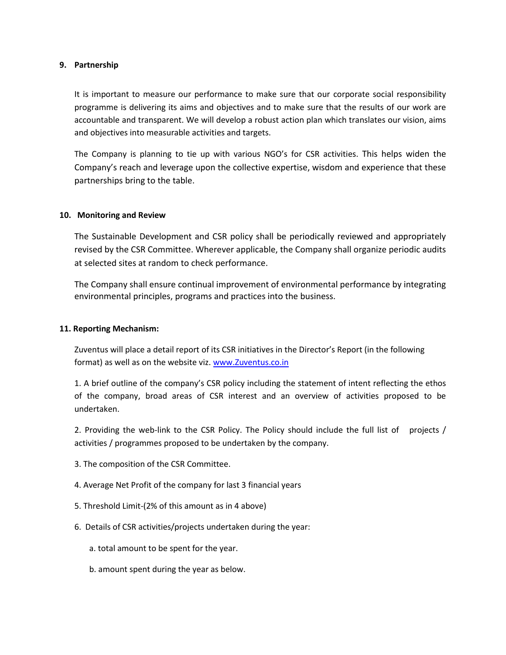#### **9. Partnership**

It is important to measure our performance to make sure that our corporate social responsibility programme is delivering its aims and objectives and to make sure that the results of our work are accountable and transparent. We will develop a robust action plan which translates our vision, aims and objectives into measurable activities and targets.

The Company is planning to tie up with various NGO's for CSR activities. This helps widen the Company's reach and leverage upon the collective expertise, wisdom and experience that these partnerships bring to the table.

#### **10. Monitoring and Review**

The Sustainable Development and CSR policy shall be periodically reviewed and appropriately revised by the CSR Committee. Wherever applicable, the Company shall organize periodic audits at selected sites at random to check performance.

The Company shall ensure continual improvement of environmental performance by integrating environmental principles, programs and practices into the business.

#### **11. Reporting Mechanism:**

Zuventus will place a detail report of its CSR initiatives in the Director's Report (in the following format) as well as on the website viz[. www.Zuventus.co.in](http://www.zuventus.co.in/)

1. A brief outline of the company's CSR policy including the statement of intent reflecting the ethos of the company, broad areas of CSR interest and an overview of activities proposed to be undertaken.

2. Providing the web-link to the CSR Policy. The Policy should include the full list of projects / activities / programmes proposed to be undertaken by the company.

- 3. The composition of the CSR Committee.
- 4. Average Net Profit of the company for last 3 financial years
- 5. Threshold Limit-(2% of this amount as in 4 above)
- 6. Details of CSR activities/projects undertaken during the year:
	- a. total amount to be spent for the year.
	- b. amount spent during the year as below.